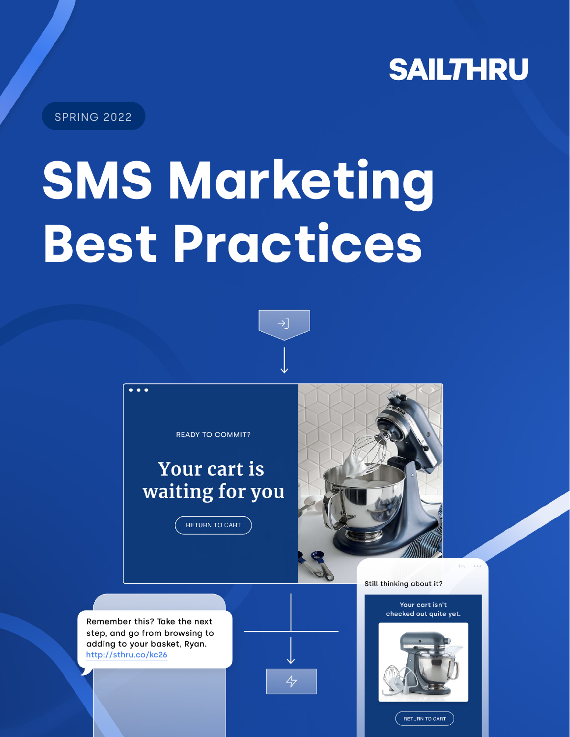

SPRING 2022

# **SMS Marketing Best Practices**



 $\overline{\mathcal{L}}$ 

**READY TO COMMIT?** 

## **Your cart is** waiting for you

**RETURN TO CART** 



Still thinking about it?

#### Your cart isn't checked out quite yet.



RETURN TO CART

Remember this? Take the next step, and go from browsing to adding to your basket, Ryan. http://sthru.co/kc26

 $\ddot{\bullet}$   $\dot{\bullet}$   $\ddot{\bullet}$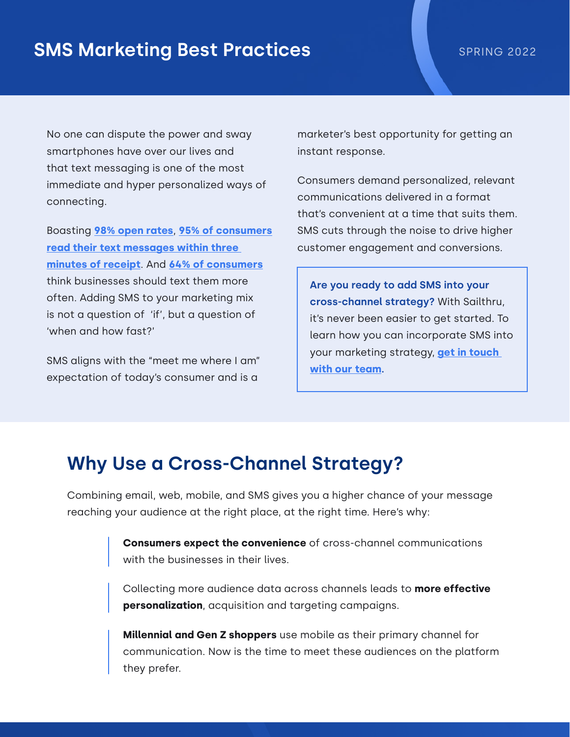### **SMS Marketing Best Practices** SPRING 2022

No one can dispute the power and sway smartphones have over our lives and that text messaging is one of the most immediate and hyper personalized ways of connecting.

Boasting **[98% open rates](http://www.mobiniti.com/2021/01/29/industry-stats-for-sms-marketing-messages/)**, **[95% of consumers](https://www.smscomparison.com/mass-text-messaging/2022-statistics/) [read their text messages within three](https://www.smscomparison.com/mass-text-messaging/2022-statistics/)  [minutes of receipt](https://www.smscomparison.com/mass-text-messaging/2022-statistics/)**. And **[64% of consumers](https://findstack.com/sms-marketing-statistics/)** think businesses should text them more often. Adding SMS to your marketing mix is not a question of 'if', but a question of 'when and how fast?'

SMS aligns with the "meet me where I am" expectation of today's consumer and is a

marketer's best opportunity for getting an instant response.

Consumers demand personalized, relevant communications delivered in a format that's convenient at a time that suits them. SMS cuts through the noise to drive higher customer engagement and conversions.

**Are you ready to add SMS into your cross-channel strategy?** With Sailthru, it's never been easier to get started. To learn how you can incorporate SMS into your marketing strategy, **[get in touch](https://www.sailthru.com/contact-us-sms/)  [with our team](https://www.sailthru.com/contact-us-sms/).**

#### **Why Use a Cross-Channel Strategy?**

Combining email, web, mobile, and SMS gives you a higher chance of your message reaching your audience at the right place, at the right time. Here's why:

> **Consumers expect the convenience** of cross-channel communications with the businesses in their lives.

Collecting more audience data across channels leads to **more effective personalization**, acquisition and targeting campaigns.

**Millennial and Gen Z shoppers** use mobile as their primary channel for communication. Now is the time to meet these audiences on the platform they prefer.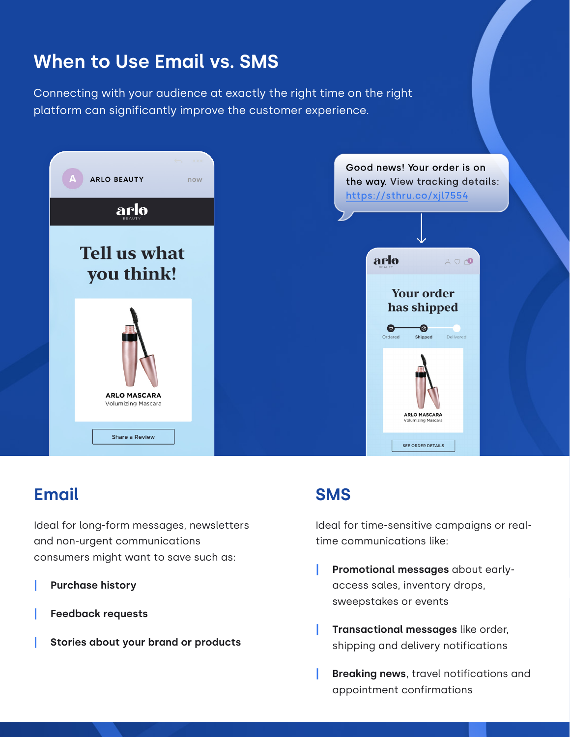## **When to Use Email vs. SMS**

Connecting with your audience at exactly the right time on the right platform can significantly improve the customer experience.



#### **Email**

Ideal for long-form messages, newsletters and non-urgent communications consumers might want to save such as:

- **| Purchase history**
- **| Feedback requests**
- **| Stories about your brand or products**

#### **SMS**

Ideal for time-sensitive campaigns or realtime communications like:

- **| Promotional messages** about earlyaccess sales, inventory drops, sweepstakes or events
- **| Transactional messages** like order, shipping and delivery notifications
- **| Breaking news**, travel notifications and appointment confirmations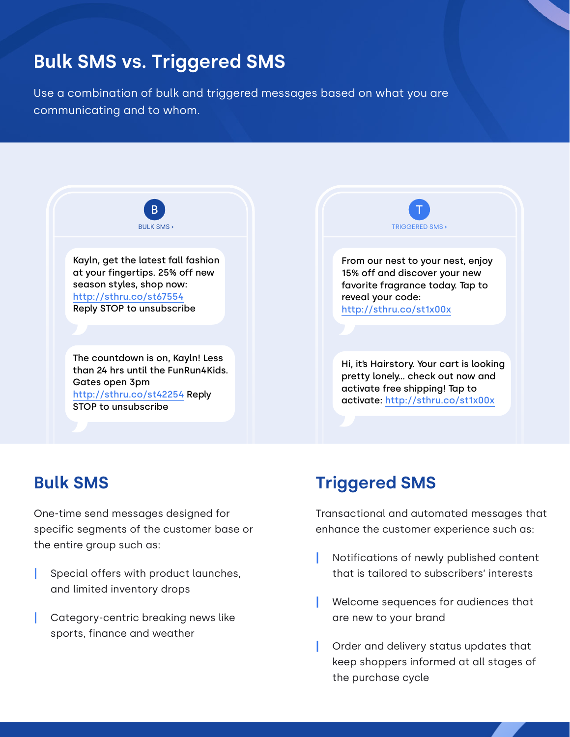## **Bulk SMS vs. Triggered SMS**

Use a combination of bulk and triggered messages based on what you are communicating and to whom.





#### **Bulk SMS**

One-time send messages designed for specific segments of the customer base or the entire group such as:

- **|** Special offers with product launches, and limited inventory drops
- **|** Category-centric breaking news like sports, finance and weather

#### **Triggered SMS**

Transactional and automated messages that enhance the customer experience such as:

- **|** Notifications of newly published content that is tailored to subscribers' interests
- **|** Welcome sequences for audiences that are new to your brand
- **|** Order and delivery status updates that keep shoppers informed at all stages of the purchase cycle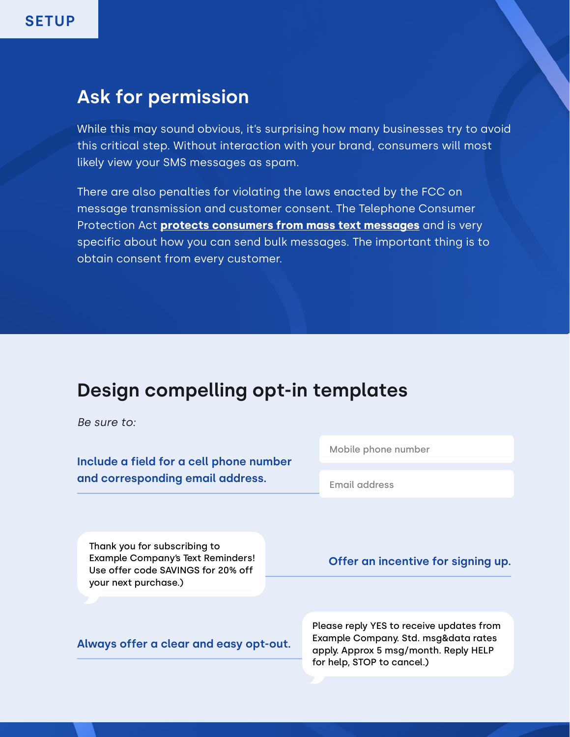#### **Ask for permission**

While this may sound obvious, it's surprising how many businesses try to avoid this critical step. Without interaction with your brand, consumers will most likely view your SMS messages as spam.

There are also penalties for violating the laws enacted by the FCC on message transmission and customer consent. The Telephone Consumer Protection Act **[protects consumers from mass text messages](https://www.fcc.gov/sites/default/files/tcpa-rules.pdf)** and is very specific about how you can send bulk messages. The important thing is to obtain consent from every customer.

### **Design compelling opt-in templates**

*Be sure to:*

**Include a field for a cell phone number and corresponding email address.**

Mobile phone number

Email address

Thank you for subscribing to Example Company's Text Reminders! Use offer code SAVINGS for 20% off your next purchase.)

**Offer an incentive for signing up.**

**Always offer a clear and easy opt-out.** 

Please reply YES to receive updates from Example Company. Std. msg&data rates apply. Approx 5 msg/month. Reply HELP for help, STOP to cancel.)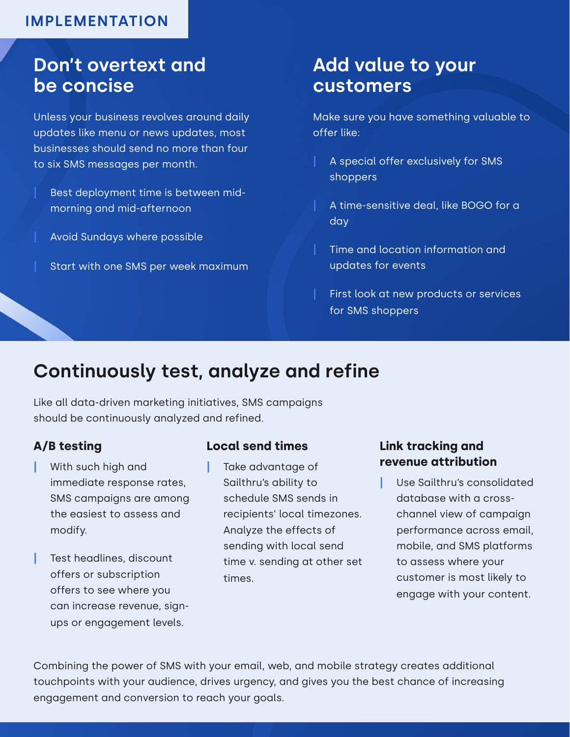#### **IMPLEMENTATION**

#### **Don't overtext and be concise**

Unless your business revolves around daily updates like menu or news updates, most businesses should send no more than four to six SMS messages per month.

- **|** Best deployment time is between midmorning and mid-afternoon
- **|** Avoid Sundays where possible
- **|** Start with one SMS per week maximum

#### **Add value to your customers**

Make sure you have something valuable to offer like:

- **|** A special offer exclusively for SMS shoppers
- **|** A time-sensitive deal, like BOGO for a day
- **|** Time and location information and updates for events
- **|** First look at new products or services for SMS shoppers

## **Continuously test, analyze and refine**

Like all data-driven marketing initiatives, SMS campaigns should be continuously analyzed and refined.

#### **A/B testing**

- **|** With such high and immediate response rates, SMS campaigns are among the easiest to assess and modify.
- **|** Test headlines, discount offers or subscription offers to see where you can increase revenue, signups or engagement levels.

#### **Local send times**

**|** Take advantage of Sailthru's ability to schedule SMS sends in recipients' local timezones. Analyze the effects of sending with local send time v. sending at other set times.

#### **Link tracking and revenue attribution**

**|** Use Sailthru's consolidated database with a crosschannel view of campaign performance across email, mobile, and SMS platforms to assess where your customer is most likely to engage with your content.

Combining the power of SMS with your email, web, and mobile strategy creates additional touchpoints with your audience, drives urgency, and gives you the best chance of increasing engagement and conversion to reach your goals.